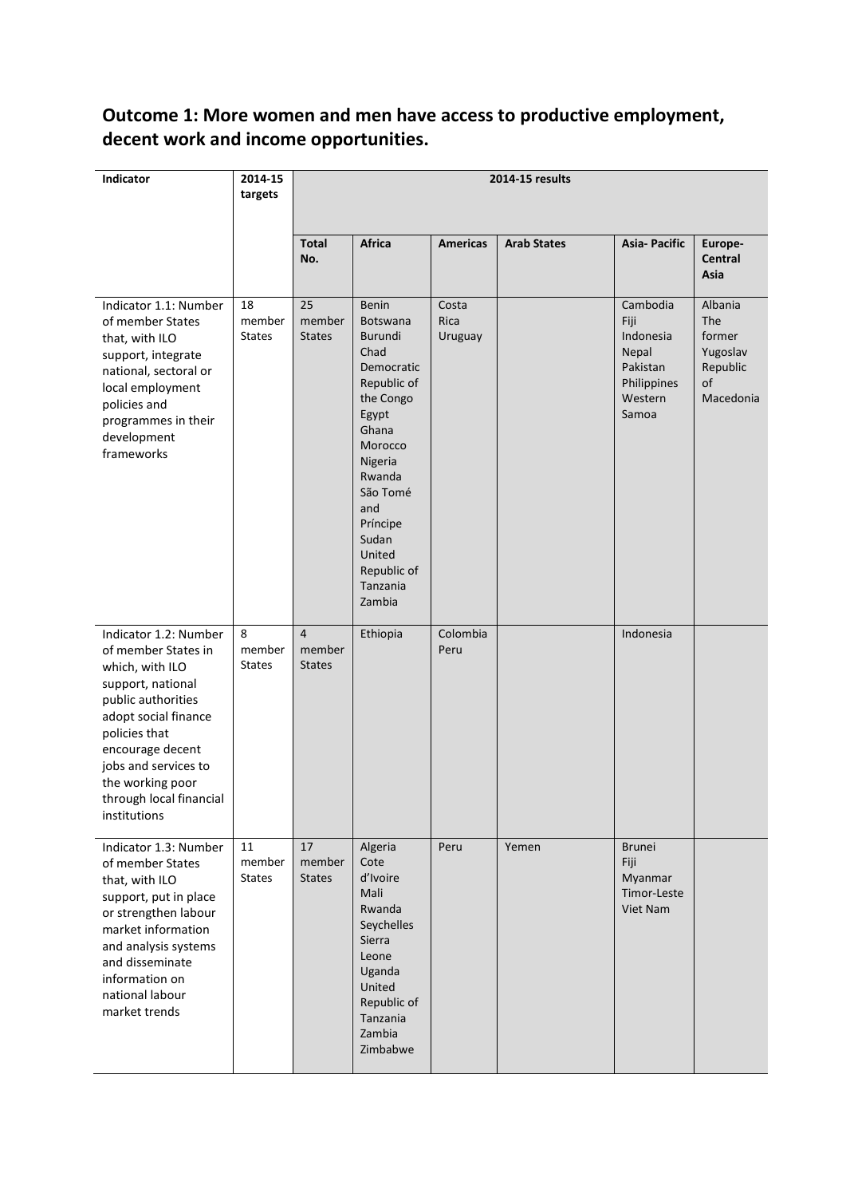# **Outcome 1: More women and men have access to productive employment, decent work and income opportunities.**

| Indicator                                                                                                                                                                                                                                                      | 2014-15<br>targets            | 2014-15 results                           |                                                                                                                                                                                                                                       |                          |                    |                                                                                       |                                                                     |
|----------------------------------------------------------------------------------------------------------------------------------------------------------------------------------------------------------------------------------------------------------------|-------------------------------|-------------------------------------------|---------------------------------------------------------------------------------------------------------------------------------------------------------------------------------------------------------------------------------------|--------------------------|--------------------|---------------------------------------------------------------------------------------|---------------------------------------------------------------------|
|                                                                                                                                                                                                                                                                |                               | <b>Total</b><br>No.                       | Africa                                                                                                                                                                                                                                | <b>Americas</b>          | <b>Arab States</b> | <b>Asia-Pacific</b>                                                                   | Europe-<br>Central<br>Asia                                          |
| Indicator 1.1: Number<br>of member States<br>that, with ILO<br>support, integrate<br>national, sectoral or<br>local employment<br>policies and<br>programmes in their<br>development<br>frameworks                                                             | 18<br>member<br><b>States</b> | 25<br>member<br><b>States</b>             | Benin<br><b>Botswana</b><br><b>Burundi</b><br>Chad<br>Democratic<br>Republic of<br>the Congo<br>Egypt<br>Ghana<br>Morocco<br>Nigeria<br>Rwanda<br>São Tomé<br>and<br>Príncipe<br>Sudan<br>United<br>Republic of<br>Tanzania<br>Zambia | Costa<br>Rica<br>Uruguay |                    | Cambodia<br>Fiji<br>Indonesia<br>Nepal<br>Pakistan<br>Philippines<br>Western<br>Samoa | Albania<br>The<br>former<br>Yugoslav<br>Republic<br>of<br>Macedonia |
| Indicator 1.2: Number<br>of member States in<br>which, with ILO<br>support, national<br>public authorities<br>adopt social finance<br>policies that<br>encourage decent<br>jobs and services to<br>the working poor<br>through local financial<br>institutions | 8<br>member<br><b>States</b>  | $\overline{4}$<br>member<br><b>States</b> | Ethiopia                                                                                                                                                                                                                              | Colombia<br>Peru         |                    | Indonesia                                                                             |                                                                     |
| Indicator 1.3: Number<br>of member States<br>that, with ILO<br>support, put in place<br>or strengthen labour<br>market information<br>and analysis systems<br>and disseminate<br>information on<br>national labour<br>market trends                            | 11<br>member<br><b>States</b> | 17<br>member<br><b>States</b>             | Algeria<br>Cote<br>d'Ivoire<br>Mali<br>Rwanda<br>Seychelles<br>Sierra<br>Leone<br>Uganda<br>United<br>Republic of<br>Tanzania<br>Zambia<br>Zimbabwe                                                                                   | Peru                     | Yemen              | <b>Brunei</b><br>Fiji<br>Myanmar<br>Timor-Leste<br>Viet Nam                           |                                                                     |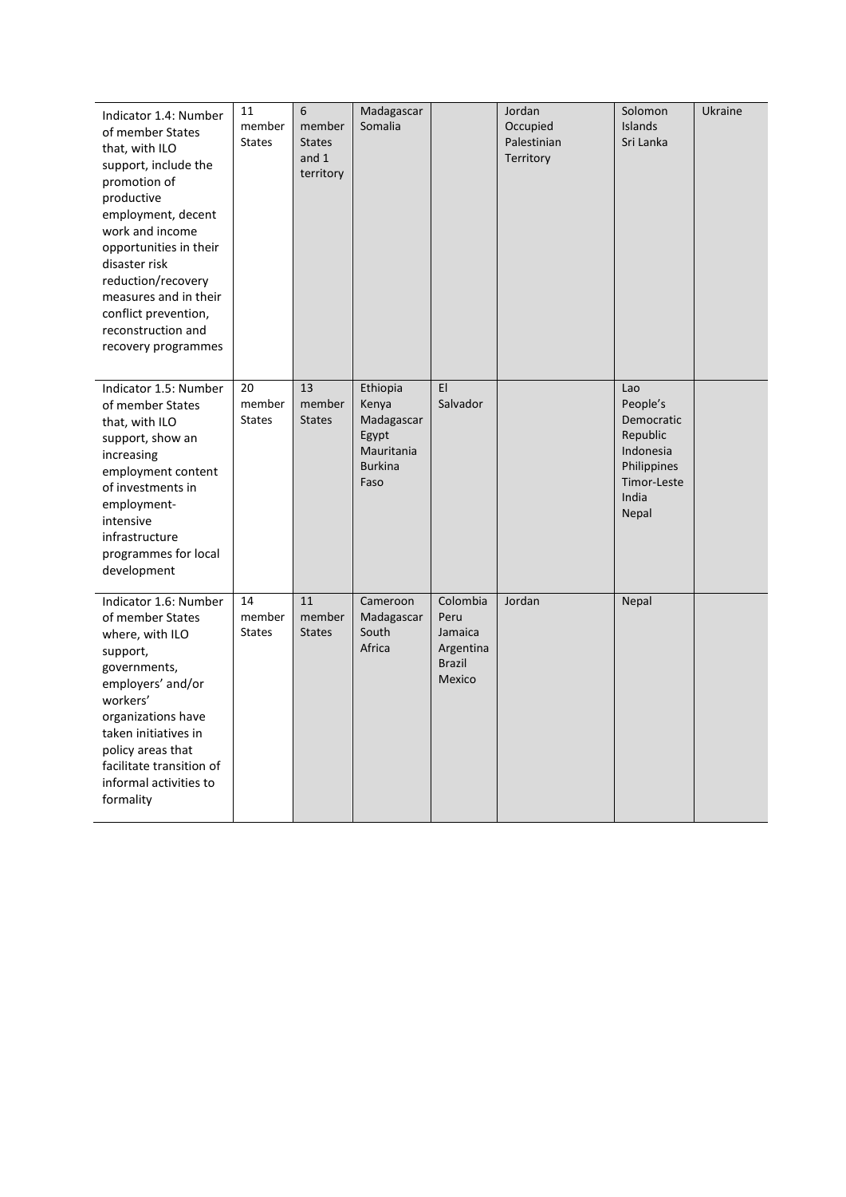| Indicator 1.4: Number<br>of member States<br>that, with ILO<br>support, include the<br>promotion of<br>productive<br>employment, decent<br>work and income<br>opportunities in their<br>disaster risk<br>reduction/recovery<br>measures and in their<br>conflict prevention,<br>reconstruction and<br>recovery programmes | 11<br>member<br><b>States</b> | 6<br>member<br><b>States</b><br>and 1<br>territory | Madagascar<br>Somalia                                                            |                                                                     | Jordan<br>Occupied<br>Palestinian<br>Territory | Solomon<br>Islands<br>Sri Lanka                                                                        | <b>Ukraine</b> |
|---------------------------------------------------------------------------------------------------------------------------------------------------------------------------------------------------------------------------------------------------------------------------------------------------------------------------|-------------------------------|----------------------------------------------------|----------------------------------------------------------------------------------|---------------------------------------------------------------------|------------------------------------------------|--------------------------------------------------------------------------------------------------------|----------------|
| Indicator 1.5: Number<br>of member States<br>that, with ILO<br>support, show an<br>increasing<br>employment content<br>of investments in<br>employment-<br>intensive<br>infrastructure<br>programmes for local<br>development                                                                                             | 20<br>member<br><b>States</b> | 13<br>member<br><b>States</b>                      | Ethiopia<br>Kenya<br>Madagascar<br>Egypt<br>Mauritania<br><b>Burkina</b><br>Faso | EI<br>Salvador                                                      |                                                | Lao<br>People's<br>Democratic<br>Republic<br>Indonesia<br>Philippines<br>Timor-Leste<br>India<br>Nepal |                |
| Indicator 1.6: Number<br>of member States<br>where, with ILO<br>support,<br>governments,<br>employers' and/or<br>workers'<br>organizations have<br>taken initiatives in<br>policy areas that<br>facilitate transition of<br>informal activities to<br>formality                                                           | 14<br>member<br><b>States</b> | 11<br>member<br><b>States</b>                      | Cameroon<br>Madagascar<br>South<br>Africa                                        | Colombia<br>Peru<br>Jamaica<br>Argentina<br><b>Brazil</b><br>Mexico | Jordan                                         | Nepal                                                                                                  |                |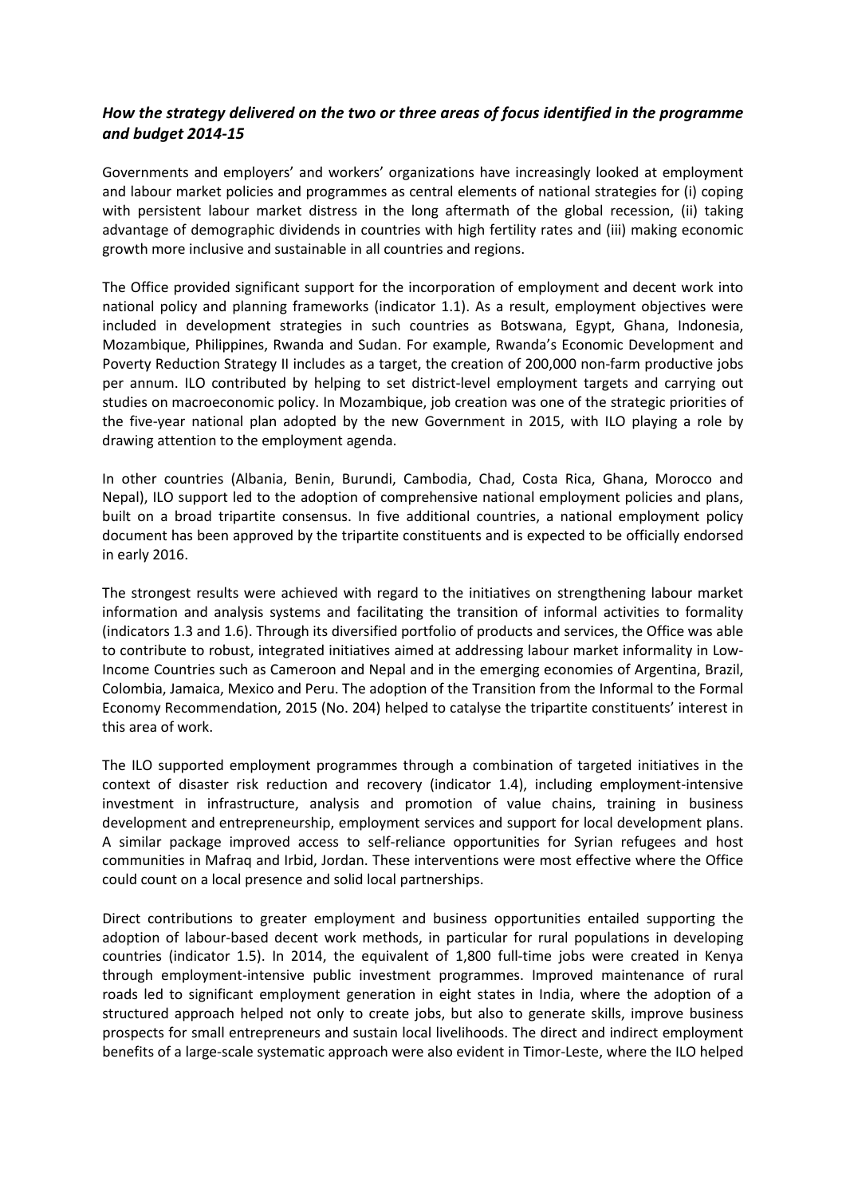# *How the strategy delivered on the two or three areas of focus identified in the programme and budget 2014-15*

Governments and employers' and workers' organizations have increasingly looked at employment and labour market policies and programmes as central elements of national strategies for (i) coping with persistent labour market distress in the long aftermath of the global recession, (ii) taking advantage of demographic dividends in countries with high fertility rates and (iii) making economic growth more inclusive and sustainable in all countries and regions.

The Office provided significant support for the incorporation of employment and decent work into national policy and planning frameworks (indicator 1.1). As a result, employment objectives were included in development strategies in such countries as Botswana, Egypt, Ghana, Indonesia, Mozambique, Philippines, Rwanda and Sudan. For example, Rwanda's Economic Development and Poverty Reduction Strategy II includes as a target, the creation of 200,000 non-farm productive jobs per annum. ILO contributed by helping to set district-level employment targets and carrying out studies on macroeconomic policy. In Mozambique, job creation was one of the strategic priorities of the five-year national plan adopted by the new Government in 2015, with ILO playing a role by drawing attention to the employment agenda.

In other countries (Albania, Benin, Burundi, Cambodia, Chad, Costa Rica, Ghana, Morocco and Nepal), ILO support led to the adoption of comprehensive national employment policies and plans, built on a broad tripartite consensus. In five additional countries, a national employment policy document has been approved by the tripartite constituents and is expected to be officially endorsed in early 2016.

The strongest results were achieved with regard to the initiatives on strengthening labour market information and analysis systems and facilitating the transition of informal activities to formality (indicators 1.3 and 1.6). Through its diversified portfolio of products and services, the Office was able to contribute to robust, integrated initiatives aimed at addressing labour market informality in Low-Income Countries such as Cameroon and Nepal and in the emerging economies of Argentina, Brazil, Colombia, Jamaica, Mexico and Peru. The adoption of the Transition from the Informal to the Formal Economy Recommendation, 2015 (No. 204) helped to catalyse the tripartite constituents' interest in this area of work.

The ILO supported employment programmes through a combination of targeted initiatives in the context of disaster risk reduction and recovery (indicator 1.4), including employment-intensive investment in infrastructure, analysis and promotion of value chains, training in business development and entrepreneurship, employment services and support for local development plans. A similar package improved access to self-reliance opportunities for Syrian refugees and host communities in Mafraq and Irbid, Jordan. These interventions were most effective where the Office could count on a local presence and solid local partnerships.

Direct contributions to greater employment and business opportunities entailed supporting the adoption of labour-based decent work methods, in particular for rural populations in developing countries (indicator 1.5). In 2014, the equivalent of 1,800 full-time jobs were created in Kenya through employment-intensive public investment programmes. Improved maintenance of rural roads led to significant employment generation in eight states in India, where the adoption of a structured approach helped not only to create jobs, but also to generate skills, improve business prospects for small entrepreneurs and sustain local livelihoods. The direct and indirect employment benefits of a large-scale systematic approach were also evident in Timor-Leste, where the ILO helped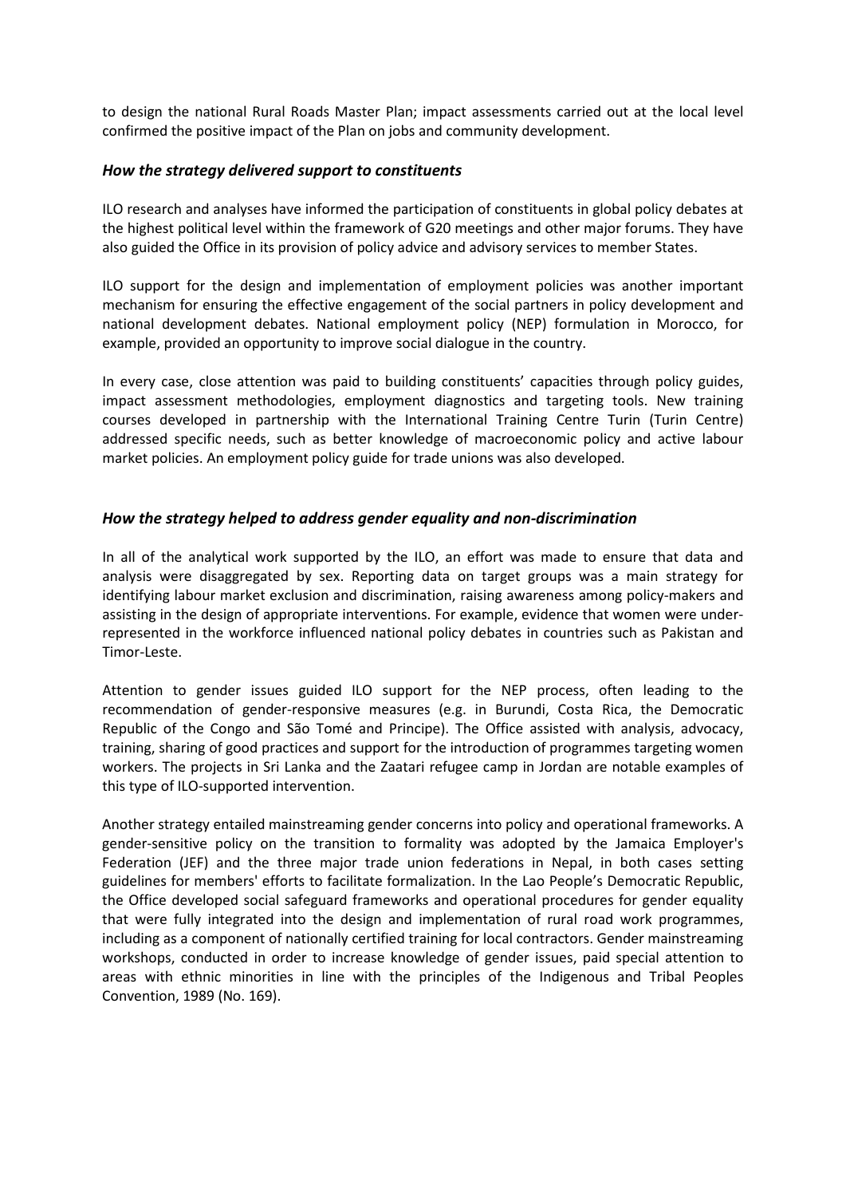to design the national Rural Roads Master Plan; impact assessments carried out at the local level confirmed the positive impact of the Plan on jobs and community development.

#### *How the strategy delivered support to constituents*

ILO research and analyses have informed the participation of constituents in global policy debates at the highest political level within the framework of G20 meetings and other major forums. They have also guided the Office in its provision of policy advice and advisory services to member States.

ILO support for the design and implementation of employment policies was another important mechanism for ensuring the effective engagement of the social partners in policy development and national development debates. National employment policy (NEP) formulation in Morocco, for example, provided an opportunity to improve social dialogue in the country.

In every case, close attention was paid to building constituents' capacities through policy guides, impact assessment methodologies, employment diagnostics and targeting tools. New training courses developed in partnership with the International Training Centre Turin (Turin Centre) addressed specific needs, such as better knowledge of macroeconomic policy and active labour market policies. An employment policy guide for trade unions was also developed.

## *How the strategy helped to address gender equality and non-discrimination*

In all of the analytical work supported by the ILO, an effort was made to ensure that data and analysis were disaggregated by sex. Reporting data on target groups was a main strategy for identifying labour market exclusion and discrimination, raising awareness among policy-makers and assisting in the design of appropriate interventions. For example, evidence that women were underrepresented in the workforce influenced national policy debates in countries such as Pakistan and Timor-Leste.

Attention to gender issues guided ILO support for the NEP process, often leading to the recommendation of gender-responsive measures (e.g. in Burundi, Costa Rica, the Democratic Republic of the Congo and São Tomé and Principe). The Office assisted with analysis, advocacy, training, sharing of good practices and support for the introduction of programmes targeting women workers. The projects in Sri Lanka and the Zaatari refugee camp in Jordan are notable examples of this type of ILO-supported intervention.

Another strategy entailed mainstreaming gender concerns into policy and operational frameworks. A gender-sensitive policy on the transition to formality was adopted by the Jamaica Employer's Federation (JEF) and the three major trade union federations in Nepal, in both cases setting guidelines for members' efforts to facilitate formalization. In the Lao People's Democratic Republic, the Office developed social safeguard frameworks and operational procedures for gender equality that were fully integrated into the design and implementation of rural road work programmes, including as a component of nationally certified training for local contractors. Gender mainstreaming workshops, conducted in order to increase knowledge of gender issues, paid special attention to areas with ethnic minorities in line with the principles of the Indigenous and Tribal Peoples Convention, 1989 (No. 169).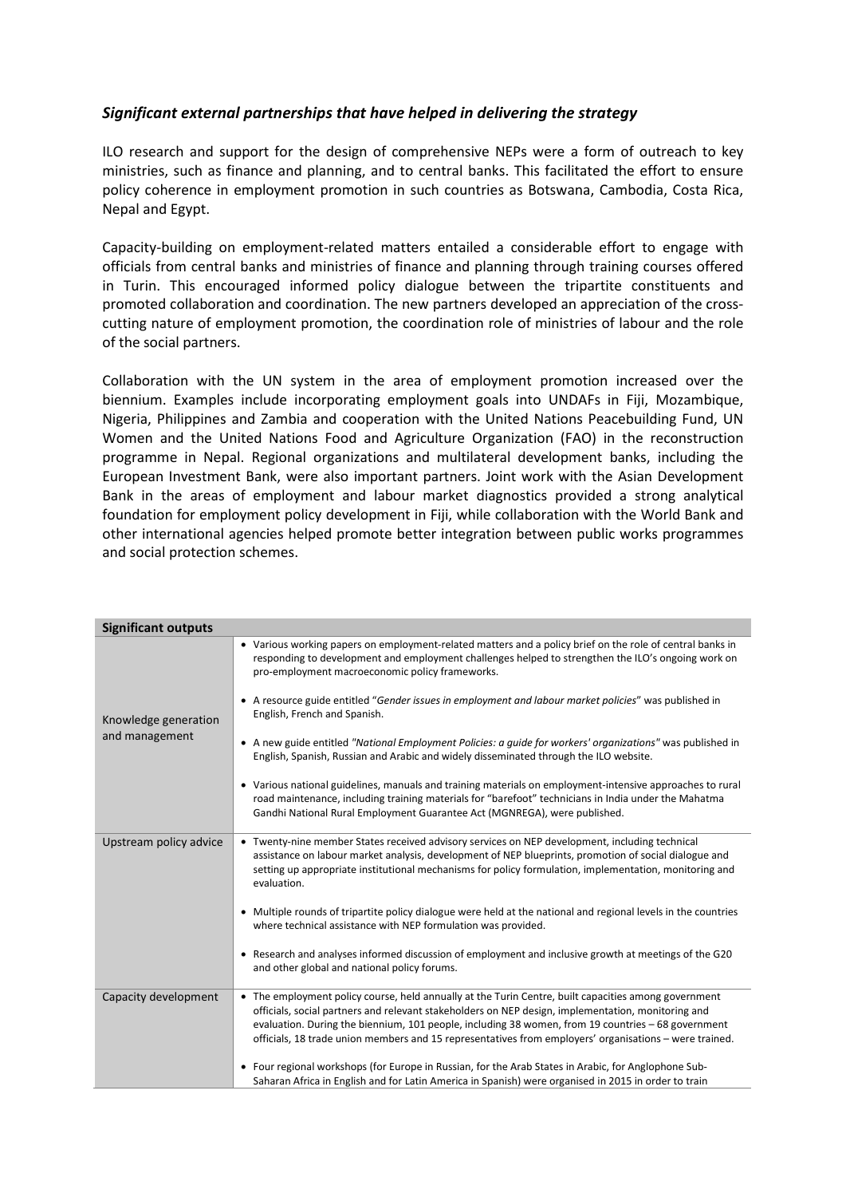## *Significant external partnerships that have helped in delivering the strategy*

ILO research and support for the design of comprehensive NEPs were a form of outreach to key ministries, such as finance and planning, and to central banks. This facilitated the effort to ensure policy coherence in employment promotion in such countries as Botswana, Cambodia, Costa Rica, Nepal and Egypt.

Capacity-building on employment-related matters entailed a considerable effort to engage with officials from central banks and ministries of finance and planning through training courses offered in Turin. This encouraged informed policy dialogue between the tripartite constituents and promoted collaboration and coordination. The new partners developed an appreciation of the crosscutting nature of employment promotion, the coordination role of ministries of labour and the role of the social partners.

Collaboration with the UN system in the area of employment promotion increased over the biennium. Examples include incorporating employment goals into UNDAFs in Fiji, Mozambique, Nigeria, Philippines and Zambia and cooperation with the United Nations Peacebuilding Fund, UN Women and the United Nations Food and Agriculture Organization (FAO) in the reconstruction programme in Nepal. Regional organizations and multilateral development banks, including the European Investment Bank, were also important partners. Joint work with the Asian Development Bank in the areas of employment and labour market diagnostics provided a strong analytical foundation for employment policy development in Fiji, while collaboration with the World Bank and other international agencies helped promote better integration between public works programmes and social protection schemes.

| <b>Significant outputs</b>             |                                                                                                                                                                                                                                                                                                                                                                                                                            |
|----------------------------------------|----------------------------------------------------------------------------------------------------------------------------------------------------------------------------------------------------------------------------------------------------------------------------------------------------------------------------------------------------------------------------------------------------------------------------|
| Knowledge generation<br>and management | • Various working papers on employment-related matters and a policy brief on the role of central banks in<br>responding to development and employment challenges helped to strengthen the ILO's ongoing work on<br>pro-employment macroeconomic policy frameworks.                                                                                                                                                         |
|                                        | • A resource guide entitled "Gender issues in employment and labour market policies" was published in<br>English, French and Spanish.                                                                                                                                                                                                                                                                                      |
|                                        | • A new guide entitled "National Employment Policies: a quide for workers' organizations" was published in<br>English, Spanish, Russian and Arabic and widely disseminated through the ILO website.                                                                                                                                                                                                                        |
|                                        | • Various national guidelines, manuals and training materials on employment-intensive approaches to rural<br>road maintenance, including training materials for "barefoot" technicians in India under the Mahatma<br>Gandhi National Rural Employment Guarantee Act (MGNREGA), were published.                                                                                                                             |
| Upstream policy advice                 | • Twenty-nine member States received advisory services on NEP development, including technical<br>assistance on labour market analysis, development of NEP blueprints, promotion of social dialogue and<br>setting up appropriate institutional mechanisms for policy formulation, implementation, monitoring and<br>evaluation.                                                                                           |
|                                        | • Multiple rounds of tripartite policy dialogue were held at the national and regional levels in the countries<br>where technical assistance with NEP formulation was provided.                                                                                                                                                                                                                                            |
|                                        | • Research and analyses informed discussion of employment and inclusive growth at meetings of the G20<br>and other global and national policy forums.                                                                                                                                                                                                                                                                      |
| Capacity development                   | • The employment policy course, held annually at the Turin Centre, built capacities among government<br>officials, social partners and relevant stakeholders on NEP design, implementation, monitoring and<br>evaluation. During the biennium, 101 people, including 38 women, from 19 countries - 68 government<br>officials, 18 trade union members and 15 representatives from employers' organisations - were trained. |
|                                        | • Four regional workshops (for Europe in Russian, for the Arab States in Arabic, for Anglophone Sub-<br>Saharan Africa in English and for Latin America in Spanish) were organised in 2015 in order to train                                                                                                                                                                                                               |